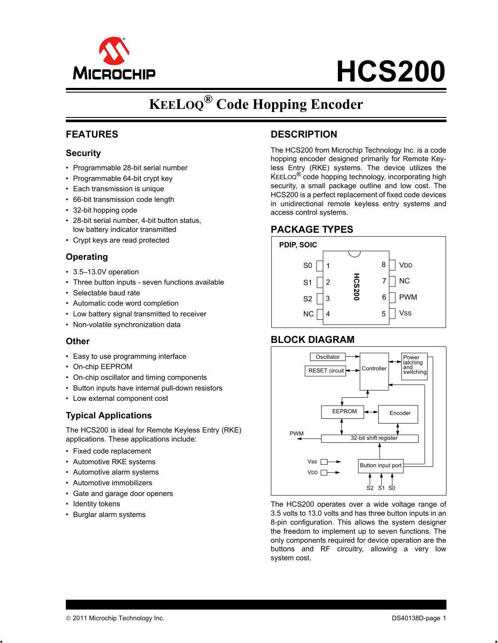

# **HCS200**

# **KEELOQ® Code Hopping Encoder**

#### **FEATURES**

#### **Security**

- Programmable 28-bit serial number
- Programmable 64-bit crypt key
- Each transmission is unique
- 66-bit transmission code length
- 32-bit hopping code
- 28-bit serial number, 4-bit button status, low battery indicator transmitted
- Crypt keys are read protected

#### **Operating**

- 3.5–13.0V operation
- Three button inputs seven functions available
- Selectable baud rate
- Automatic code word completion
- Low battery signal transmitted to receiver
- Non-volatile synchronization data

#### **Other**

- Easy to use programming interface
- On-chip EEPROM
- On-chip oscillator and timing components
- Button inputs have internal pull-down resistors
- Low external component cost

#### **Typical Applications**

The HCS200 is ideal for Remote Keyless Entry (RKE) applications. These applications include:

- Fixed code replacement
- Automotive RKE systems
- Automotive alarm systems
- Automotive immobilizers
- Gate and garage door openers
- Identity tokens
- Burglar alarm systems

### **DESCRIPTION**

The HCS200 from Microchip Technology Inc. is a code hopping encoder designed primarily for Remote Keyless Entry (RKE) systems. The device utilizes the KEELOQ<sup>®</sup> code hopping technology, incorporating high security, a small package outline and low cost. The HCS200 is a perfect replacement of fixed code devices in unidirectional remote keyless entry systems and access control systems.

# **PACKAGE TYPES**



#### **BLOCK DIAGRAM**



The HCS200 operates over a wide voltage range of 3.5 volts to 13.0 volts and has three button inputs in an 8-pin configuration. This allows the system designer the freedom to implement up to seven functions. The only components required for device operation are the buttons and RF circuitry, allowing a very low system cost.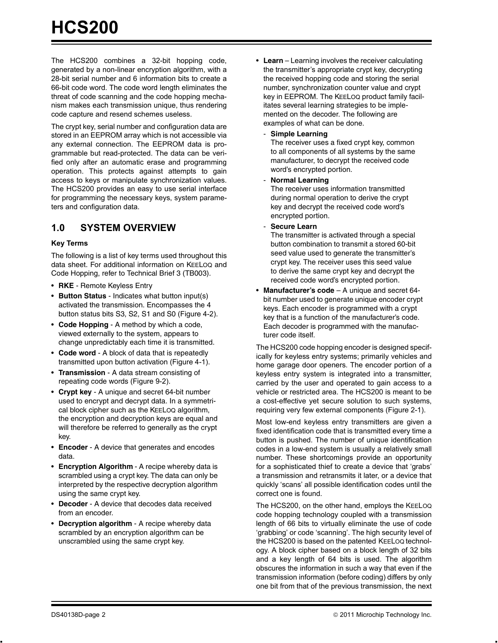The HCS200 combines a 32-bit hopping code, generated by a non-linear encryption algorithm, with a 28-bit serial number and 6 information bits to create a 66-bit code word. The code word length eliminates the threat of code scanning and the code hopping mechanism makes each transmission unique, thus rendering code capture and resend schemes useless.

The crypt key, serial number and configuration data are stored in an EEPROM array which is not accessible via any external connection. The EEPROM data is programmable but read-protected. The data can be verified only after an automatic erase and programming operation. This protects against attempts to gain access to keys or manipulate synchronization values. The HCS200 provides an easy to use serial interface for programming the necessary keys, system parameters and configuration data.

# **1.0 SYSTEM OVERVIEW**

#### **Key Terms**

The following is a list of key terms used throughout this data sheet. For additional information on KEELOQ and Code Hopping, refer to Technical Brief 3 (TB003).

- **RKE** Remote Keyless Entry
- **Button Status** Indicates what button input(s) activated the transmission. Encompasses the 4 button status bits S3, S2, S1 and S0 ([Figure 4-2\)](#page-7-1).
- **Code Hopping** A method by which a code, viewed externally to the system, appears to change unpredictably each time it is transmitted.
- **Code word** A block of data that is repeatedly transmitted upon button activation ([Figure 4-1\)](#page-7-0).
- **Transmission** A data stream consisting of repeating code words ([Figure 9-2](#page-20-0)).
- **Crypt key** A unique and secret 64-bit number used to encrypt and decrypt data. In a symmetrical block cipher such as the KEELOQ algorithm, the encryption and decryption keys are equal and will therefore be referred to generally as the crypt key.
- **Encoder** A device that generates and encodes data.
- **Encryption Algorithm** A recipe whereby data is scrambled using a crypt key. The data can only be interpreted by the respective decryption algorithm using the same crypt key.
- **Decoder** A device that decodes data received from an encoder.
- **Decryption algorithm** A recipe whereby data scrambled by an encryption algorithm can be unscrambled using the same crypt key.
- **Learn** Learning involves the receiver calculating the transmitter's appropriate crypt key, decrypting the received hopping code and storing the serial number, synchronization counter value and crypt key in EEPROM. The KEELOQ product family facilitates several learning strategies to be implemented on the decoder. The following are examples of what can be done.
	- **Simple Learning**

The receiver uses a fixed crypt key, common to all components of all systems by the same manufacturer, to decrypt the received code word's encrypted portion.

- **Normal Learning**

The receiver uses information transmitted during normal operation to derive the crypt key and decrypt the received code word's encrypted portion.

**Secure Learn** 

The transmitter is activated through a special button combination to transmit a stored 60-bit seed value used to generate the transmitter's crypt key. The receiver uses this seed value to derive the same crypt key and decrypt the received code word's encrypted portion.

• **Manufacturer's code** – A unique and secret 64 bit number used to generate unique encoder crypt keys. Each encoder is programmed with a crypt key that is a function of the manufacturer's code. Each decoder is programmed with the manufacturer code itself.

The HCS200 code hopping encoder is designed specifically for keyless entry systems; primarily vehicles and home garage door openers. The encoder portion of a keyless entry system is integrated into a transmitter, carried by the user and operated to gain access to a vehicle or restricted area. The HCS200 is meant to be a cost-effective yet secure solution to such systems, requiring very few external components [\(Figure 2-1](#page-4-0)).

Most low-end keyless entry transmitters are given a fixed identification code that is transmitted every time a button is pushed. The number of unique identification codes in a low-end system is usually a relatively small number. These shortcomings provide an opportunity for a sophisticated thief to create a device that 'grabs' a transmission and retransmits it later, or a device that quickly 'scans' all possible identification codes until the correct one is found.

The HCS200, on the other hand, employs the KEELOQ code hopping technology coupled with a transmission length of 66 bits to virtually eliminate the use of code 'grabbing' or code 'scanning'. The high security level of the HCS200 is based on the patented KEELOQ technology. A block cipher based on a block length of 32 bits and a key length of 64 bits is used. The algorithm obscures the information in such a way that even if the transmission information (before coding) differs by only one bit from that of the previous transmission, the next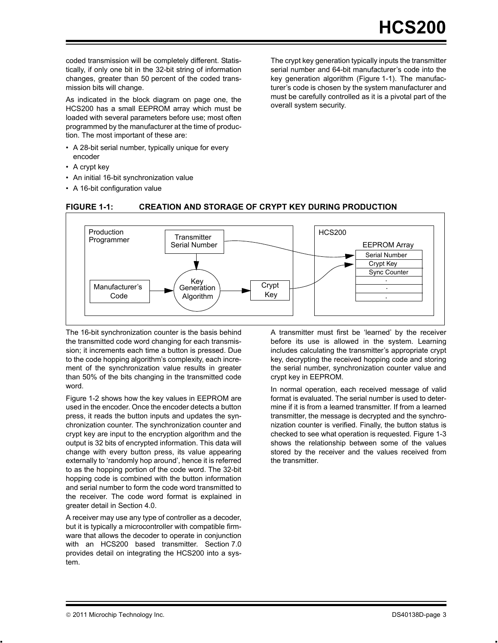coded transmission will be completely different. Statistically, if only one bit in the 32-bit string of information changes, greater than 50 percent of the coded transmission bits will change.

As indicated in the block diagram on page one, the HCS200 has a small EEPROM array which must be loaded with several parameters before use; most often programmed by the manufacturer at the time of production. The most important of these are:

- A 28-bit serial number, typically unique for every encoder
- A crypt key
- An initial 16-bit synchronization value
- A 16-bit configuration value

The crypt key generation typically inputs the transmitter serial number and 64-bit manufacturer's code into the key generation algorithm ([Figure 1-1](#page-2-0)). The manufacturer's code is chosen by the system manufacturer and must be carefully controlled as it is a pivotal part of the overall system security.



<span id="page-2-0"></span>**FIGURE 1-1: CREATION AND STORAGE OF CRYPT KEY DURING PRODUCTION**

The 16-bit synchronization counter is the basis behind the transmitted code word changing for each transmission; it increments each time a button is pressed. Due to the code hopping algorithm's complexity, each increment of the synchronization value results in greater than 50% of the bits changing in the transmitted code word.

[Figure 1-2](#page-3-0) shows how the key values in EEPROM are used in the encoder. Once the encoder detects a button press, it reads the button inputs and updates the synchronization counter. The synchronization counter and crypt key are input to the encryption algorithm and the output is 32 bits of encrypted information. This data will change with every button press, its value appearing externally to 'randomly hop around', hence it is referred to as the hopping portion of the code word. The 32-bit hopping code is combined with the button information and serial number to form the code word transmitted to the receiver. The code word format is explained in greater detail in [Section 4.0](#page-6-0).

A receiver may use any type of controller as a decoder, but it is typically a microcontroller with compatible firmware that allows the decoder to operate in conjunction with an HCS200 based transmitter. [Section 7.0](#page-11-0) provides detail on integrating the HCS200 into a system.

A transmitter must first be 'learned' by the receiver before its use is allowed in the system. Learning includes calculating the transmitter's appropriate crypt key, decrypting the received hopping code and storing the serial number, synchronization counter value and crypt key in EEPROM.

In normal operation, each received message of valid format is evaluated. The serial number is used to determine if it is from a learned transmitter. If from a learned transmitter, the message is decrypted and the synchronization counter is verified. Finally, the button status is checked to see what operation is requested. [Figure 1-3](#page-3-1) shows the relationship between some of the values stored by the receiver and the values received from the transmitter.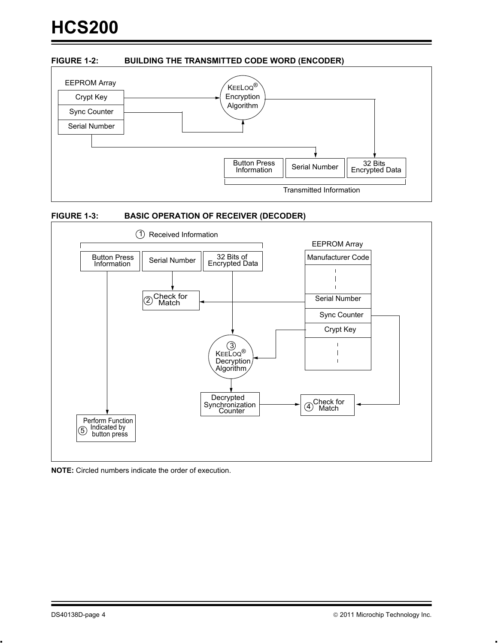#### <span id="page-3-0"></span>**FIGURE 1-2: BUILDING THE TRANSMITTED CODE WORD (ENCODER)**



<span id="page-3-1"></span>



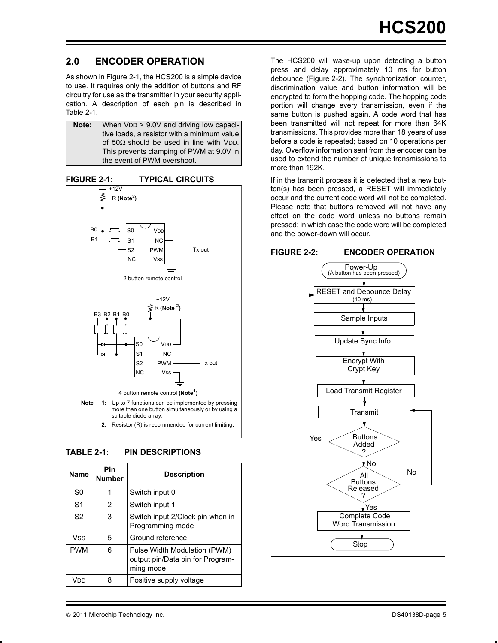# **2.0 ENCODER OPERATION**

As shown in [Figure 2-1,](#page-4-0) the HCS200 is a simple device to use. It requires only the addition of buttons and RF circuitry for use as the transmitter in your security application. A description of each pin is described in [Table 2-1.](#page-4-1)

| Note: | When VDD > 9.0V and driving low capaci-         |
|-------|-------------------------------------------------|
|       | tive loads, a resistor with a minimum value     |
|       | of 50 $\Omega$ should be used in line with VDD. |
|       | This prevents clamping of PWM at 9.0V in        |
|       | the event of PWM overshoot.                     |

<span id="page-4-0"></span>**FIGURE 2-1: TYPICAL CIRCUITS**

| <b>FIUURE 4-1.</b>                                                                             | <b>I FIGAL GIRGUITS</b>                                                                                                                                            |
|------------------------------------------------------------------------------------------------|--------------------------------------------------------------------------------------------------------------------------------------------------------------------|
| $+12V$<br>$R$ (Note <sup>2</sup> )                                                             |                                                                                                                                                                    |
| B <sub>0</sub><br>S <sub>0</sub><br><b>B1</b><br>S <sub>1</sub><br>S <sub>2</sub><br><b>NC</b> | VDD<br><b>NC</b><br>Tx out<br><b>PWM</b><br>Vss                                                                                                                    |
|                                                                                                | 2 button remote control                                                                                                                                            |
| B3 B2 B1 B0<br>Ц<br>⊳<br>⊳                                                                     | $+12V$<br>$R$ (Note $2$ )<br>S <sub>0</sub><br>V <sub>DD</sub><br><b>NC</b><br>S <sub>1</sub><br>Tx out<br><b>PWM</b><br>S <sub>2</sub><br><b>NC</b><br><b>Vss</b> |
|                                                                                                | 4 button remote control (Note <sup>1</sup> )                                                                                                                       |
| <b>Note</b><br>1:<br>suitable diode array.                                                     | Up to 7 functions can be implemented by pressing<br>more than one button simultaneously or by using a                                                              |
| 2:                                                                                             | Resistor (R) is recommended for current limiting.                                                                                                                  |

#### <span id="page-4-1"></span>**TABLE 2-1: PIN DESCRIPTIONS**

| Name                  | Pin<br><b>Number</b> | <b>Description</b>                                                            |  |  |  |
|-----------------------|----------------------|-------------------------------------------------------------------------------|--|--|--|
| S0                    |                      | Switch input 0                                                                |  |  |  |
| S <sub>1</sub>        | 2                    | Switch input 1                                                                |  |  |  |
| S <sub>2</sub>        | 3                    | Switch input 2/Clock pin when in<br>Programming mode                          |  |  |  |
| <b>V<sub>SS</sub></b> | 5                    | Ground reference                                                              |  |  |  |
| <b>PWM</b>            | 6                    | Pulse Width Modulation (PWM)<br>output pin/Data pin for Program-<br>ming mode |  |  |  |
| Vdd                   | ጸ                    | Positive supply voltage                                                       |  |  |  |

The HCS200 will wake-up upon detecting a button press and delay approximately 10 ms for button debounce ([Figure 2-2\)](#page-4-2). The synchronization counter, discrimination value and button information will be encrypted to form the hopping code. The hopping code portion will change every transmission, even if the same button is pushed again. A code word that has been transmitted will not repeat for more than 64K transmissions. This provides more than 18 years of use before a code is repeated; based on 10 operations per day. Overflow information sent from the encoder can be used to extend the number of unique transmissions to more than 192K.

If in the transmit process it is detected that a new button(s) has been pressed, a RESET will immediately occur and the current code word will not be completed. Please note that buttons removed will not have any effect on the code word unless no buttons remain pressed; in which case the code word will be completed and the power-down will occur.

<span id="page-4-2"></span>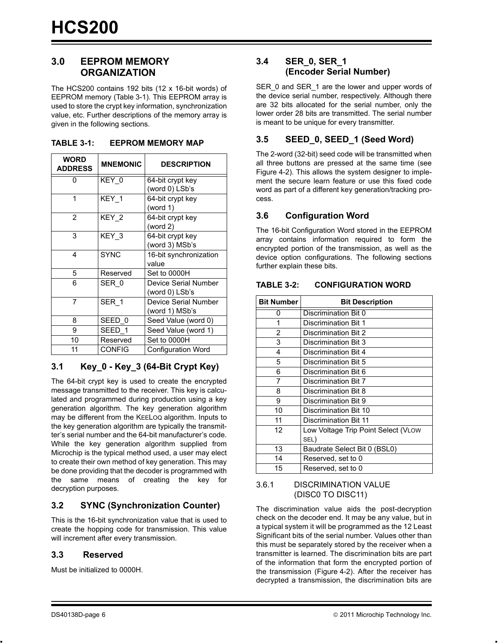#### **3.0 EEPROM MEMORY ORGANIZATION**

The HCS200 contains 192 bits (12 x 16-bit words) of EEPROM memory ([Table 3-1\)](#page-5-0). This EEPROM array is used to store the crypt key information, synchronization value, etc. Further descriptions of the memory array is given in the following sections.

| <b>WORD</b><br><b>ADDRESS</b> | <b>MNEMONIC</b>  | <b>DESCRIPTION</b>        |  |  |
|-------------------------------|------------------|---------------------------|--|--|
| 0                             | KEY 0            | 64-bit crypt key          |  |  |
|                               |                  | (word 0) LSb's            |  |  |
| 1                             | KEY 1            | 64-bit crypt key          |  |  |
|                               |                  | (word $1$ )               |  |  |
| $\overline{2}$                | KEY 2            | 64-bit crypt key          |  |  |
|                               |                  | (word $2$ )               |  |  |
| 3                             | KEY 3            | 64-bit crypt key          |  |  |
|                               |                  | (word 3) MSb's            |  |  |
| 4                             | <b>SYNC</b>      | 16-bit synchronization    |  |  |
|                               |                  | value                     |  |  |
| 5                             | Reserved         | Set to 0000H              |  |  |
| 6                             | SER 0            | Device Serial Number      |  |  |
|                               |                  | (word 0) LSb's            |  |  |
| 7                             | SER <sub>1</sub> | Device Serial Number      |  |  |
|                               |                  | (word 1) MSb's            |  |  |
| 8                             | SEED 0           | Seed Value (word 0)       |  |  |
| 9                             | SEED 1           | Seed Value (word 1)       |  |  |
| 10                            | Reserved         | Set to 0000H              |  |  |
| 11                            | <b>CONFIG</b>    | <b>Configuration Word</b> |  |  |

<span id="page-5-0"></span>**TABLE 3-1: EEPROM MEMORY MAP** 

#### **3.1 Key\_0 - Key\_3 (64-Bit Crypt Key)**

The 64-bit crypt key is used to create the encrypted message transmitted to the receiver. This key is calculated and programmed during production using a key generation algorithm. The key generation algorithm may be different from the KEELOQ algorithm. Inputs to the key generation algorithm are typically the transmitter's serial number and the 64-bit manufacturer's code. While the key generation algorithm supplied from Microchip is the typical method used, a user may elect to create their own method of key generation. This may be done providing that the decoder is programmed with the same means of creating the key for decryption purposes.

#### **3.2 SYNC (Synchronization Counter)**

This is the 16-bit synchronization value that is used to create the hopping code for transmission. This value will increment after every transmission.

#### **3.3 Reserved**

Must be initialized to 0000H. 

#### **3.4 SER\_0, SER\_1 (Encoder Serial Number)**

SER 0 and SER 1 are the lower and upper words of the device serial number, respectively. Although there are 32 bits allocated for the serial number, only the lower order 28 bits are transmitted. The serial number is meant to be unique for every transmitter.

#### **3.5 SEED\_0, SEED\_1 (Seed Word)**

The 2-word (32-bit) seed code will be transmitted when all three buttons are pressed at the same time (see [Figure 4-2\)](#page-7-1). This allows the system designer to implement the secure learn feature or use this fixed code word as part of a different key generation/tracking process.

#### **3.6 Configuration Word**

The 16-bit Configuration Word stored in the EEPROM array contains information required to form the encrypted portion of the transmission, as well as the device option configurations. The following sections further explain these bits.

| <b>Bit Number</b> | <b>Bit Description</b>              |
|-------------------|-------------------------------------|
| 0                 | Discrimination Bit 0                |
| 1                 | <b>Discrimination Bit 1</b>         |
| $\overline{2}$    | Discrimination Bit 2                |
| 3                 | Discrimination Bit 3                |
| 4                 | Discrimination Bit 4                |
| 5                 | Discrimination Bit 5                |
| 6                 | Discrimination Bit 6                |
| 7                 | Discrimination Bit 7                |
| 8                 | Discrimination Bit 8                |
| 9                 | Discrimination Bit 9                |
| 10                | Discrimination Bit 10               |
| 11                | <b>Discrimination Bit 11</b>        |
| 12                | Low Voltage Trip Point Select (VLOW |
|                   | SEL)                                |
| 13                | Baudrate Select Bit 0 (BSL0)        |
| 14                | Reserved, set to 0                  |
| 15                | Reserved, set to 0                  |

**TABLE 3-2: CONFIGURATION WORD** 

#### 3.6.1 DISCRIMINATION VALUE (DISC0 TO DISC11)

The discrimination value aids the post-decryption check on the decoder end. It may be any value, but in a typical system it will be programmed as the 12 Least Significant bits of the serial number. Values other than this must be separately stored by the receiver when a transmitter is learned. The discrimination bits are part of the information that form the encrypted portion of the transmission ([Figure 4-2\)](#page-7-1). After the receiver has decrypted a transmission, the discrimination bits are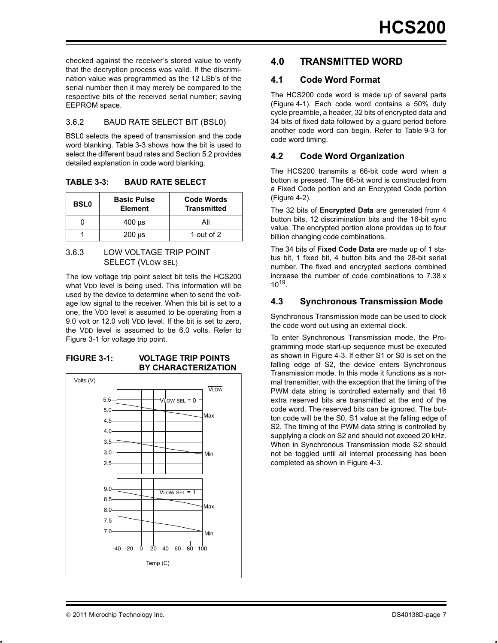checked against the receiver's stored value to verify that the decryption process was valid. If the discrimination value was programmed as the 12 LSb's of the serial number then it may merely be compared to the respective bits of the received serial number; saving EEPROM space.

#### 3.6.2 BAUD RATE SELECT BIT (BSL0)

BSL0 selects the speed of transmission and the code word blanking. [Table 3-3](#page-6-1) shows how the bit is used to select the different baud rates and [Section 5.2](#page-8-0) provides detailed explanation in code word blanking.

<span id="page-6-1"></span>**TABLE 3-3: BAUD RATE SELECT**

| <b>BSL0</b> | <b>Basic Pulse</b><br><b>Element</b> | <b>Code Words</b><br><b>Transmitted</b> |
|-------------|--------------------------------------|-----------------------------------------|
|             | $400 \mu s$                          |                                         |
|             | $200 \mu s$                          | 1 out of 2                              |

#### 3.6.3 LOW VOLTAGE TRIP POINT SELECT (VLOW SEL)

The low voltage trip point select bit tells the HCS200 what VDD level is being used. This information will be used by the device to determine when to send the voltage low signal to the receiver. When this bit is set to a one, the VDD level is assumed to be operating from a 9.0 volt or 12.0 volt VDD level. If the bit is set to zero, the VDD level is assumed to be 6.0 volts. Refer to [Figure 3-1](#page-6-2) for voltage trip point.

#### <span id="page-6-2"></span>**FIGURE 3-1: VOLTAGE TRIP POINTS BY CHARACTERIZATION**



### <span id="page-6-0"></span>**4.0 TRANSMITTED WORD**

#### **4.1 Code Word Format**

The HCS200 code word is made up of several parts ([Figure 4-1\)](#page-7-0). Each code word contains a 50% duty cycle preamble, a header, 32 bits of encrypted data and 34 bits of fixed data followed by a guard period before another code word can begin. Refer to [Table 9-3](#page-21-0) for code word timing.

#### **4.2 Code Word Organization**

The HCS200 transmits a 66-bit code word when a button is pressed. The 66-bit word is constructed from a Fixed Code portion and an Encrypted Code portion ([Figure 4-2\)](#page-7-1).

The 32 bits of **Encrypted Data** are generated from 4 button bits, 12 discrimination bits and the 16-bit sync value. The encrypted portion alone provides up to four billion changing code combinations.

The 34 bits of **Fixed Code Data** are made up of 1 status bit, 1 fixed bit, 4 button bits and the 28-bit serial number. The fixed and encrypted sections combined increase the number of code combinations to 7.38 x  $10^{19}$ .

#### **4.3 Synchronous Transmission Mode**

Synchronous Transmission mode can be used to clock the code word out using an external clock.

To enter Synchronous Transmission mode, the Programming mode start-up sequence must be executed as shown in [Figure 4-3](#page-7-2). If either S1 or S0 is set on the falling edge of S2, the device enters Synchronous Transmission mode. In this mode it functions as a normal transmitter, with the exception that the timing of the PWM data string is controlled externally and that 16 extra reserved bits are transmitted at the end of the code word. The reserved bits can be ignored. The button code will be the S0, S1 value at the falling edge of S2. The timing of the PWM data string is controlled by supplying a clock on S2 and should not exceed 20 kHz. When in Synchronous Transmission mode S2 should not be toggled until all internal processing has been completed as shown in [Figure 4-3.](#page-7-2)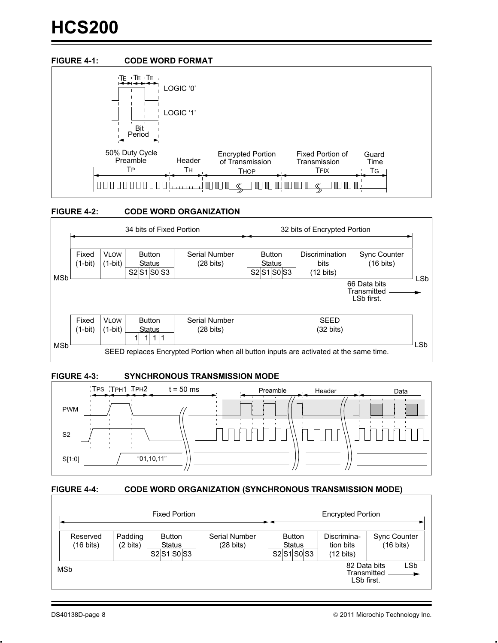# **HCS200**

#### <span id="page-7-0"></span>**FIGURE 4-1: CODE WORD FORMAT**



#### <span id="page-7-1"></span>**FIGURE 4-2: CODE WORD ORGANIZATION**



#### <span id="page-7-2"></span>**FIGURE 4-3: SYNCHRONOUS TRANSMISSION MODE**



#### **FIGURE 4-4: CODE WORD ORGANIZATION (SYNCHRONOUS TRANSMISSION MODE)**

| <b>Fixed Portion</b>            |                                                                                                                        |  |  |  | <b>Encrypted Portion</b>                        |                                            |
|---------------------------------|------------------------------------------------------------------------------------------------------------------------|--|--|--|-------------------------------------------------|--------------------------------------------|
| Reserved<br>$(16 \text{ bits})$ | Padding<br>Serial Number<br><b>Button</b><br>$(2 \text{ bits})$<br><b>Status</b><br>$(28 \text{ bits})$<br>S2 S1 S0 S3 |  |  |  | Discrimina-<br>tion bits<br>$(12 \text{ bits})$ | <b>Sync Counter</b><br>$(16 \text{ bits})$ |
| MSb                             |                                                                                                                        |  |  |  | 82 Data bits<br>LSb first.                      | <b>LSb</b><br>Transmitted                  |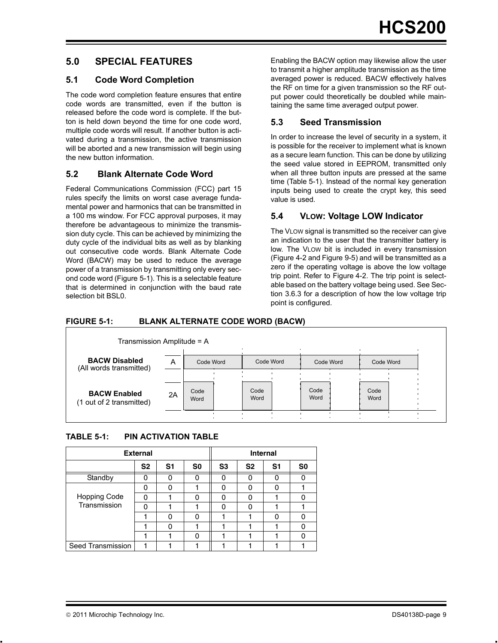### **5.0 SPECIAL FEATURES**

#### **5.1 Code Word Completion**

The code word completion feature ensures that entire code words are transmitted, even if the button is released before the code word is complete. If the button is held down beyond the time for one code word, multiple code words will result. If another button is activated during a transmission, the active transmission will be aborted and a new transmission will begin using the new button information.

#### <span id="page-8-0"></span>**5.2 Blank Alternate Code Word**

Federal Communications Commission (FCC) part 15 rules specify the limits on worst case average fundamental power and harmonics that can be transmitted in a 100 ms window. For FCC approval purposes, it may therefore be advantageous to minimize the transmission duty cycle. This can be achieved by minimizing the duty cycle of the individual bits as well as by blanking out consecutive code words. Blank Alternate Code Word (BACW) may be used to reduce the average power of a transmission by transmitting only every second code word ([Figure 5-1\)](#page-8-1). This is a selectable feature that is determined in conjunction with the baud rate selection bit BSL0.

Enabling the BACW option may likewise allow the user to transmit a higher amplitude transmission as the time averaged power is reduced. BACW effectively halves the RF on time for a given transmission so the RF output power could theoretically be doubled while maintaining the same time averaged output power.

#### **5.3 Seed Transmission**

In order to increase the level of security in a system, it is possible for the receiver to implement what is known as a secure learn function. This can be done by utilizing the seed value stored in EEPROM, transmitted only when all three button inputs are pressed at the same time ([Table 5-1\)](#page-8-2). Instead of the normal key generation inputs being used to create the crypt key, this seed value is used.

#### **5.4 VLOW: Voltage LOW Indicator**

The VLOW signal is transmitted so the receiver can give an indication to the user that the transmitter battery is low. The VLOW bit is included in every transmission ([Figure 4-2](#page-7-1) and [Figure 9-5](#page-21-1)) and will be transmitted as a zero if the operating voltage is above the low voltage trip point. Refer to [Figure 4-2](#page-7-1). The trip point is selectable based on the battery voltage being used. See Section 3.6.3 for a description of how the low voltage trip point is configured.

#### <span id="page-8-1"></span>**FIGURE 5-1: BLANK ALTERNATE CODE WORD (BACW)**

| Transmission Amplitude = A                      |    |              |              |              |              |  |  |
|-------------------------------------------------|----|--------------|--------------|--------------|--------------|--|--|
| <b>BACW Disabled</b><br>(All words transmitted) | A  | Code Word    | Code Word    | Code Word    | Code Word    |  |  |
| <b>BACW Enabled</b><br>(1 out of 2 transmitted) | 2A | Code<br>Word | Code<br>Word | Code<br>Word | Code<br>Word |  |  |
|                                                 |    |              |              |              |              |  |  |

#### <span id="page-8-2"></span>**TABLE 5-1: PIN ACTIVATION TABLE**

| <b>External</b>     | <b>Internal</b> |                |                |                |                |    |                |
|---------------------|-----------------|----------------|----------------|----------------|----------------|----|----------------|
|                     | S <sub>2</sub>  | S <sub>1</sub> | S <sub>0</sub> | S <sub>3</sub> | S <sub>2</sub> | S1 | S <sub>0</sub> |
| Standby             |                 |                |                |                |                |    |                |
|                     | ი               |                |                |                |                |    |                |
| <b>Hopping Code</b> | ŋ               |                | n              |                |                |    |                |
| Transmission        |                 |                |                |                |                |    |                |
|                     |                 |                | n              |                |                |    |                |
|                     |                 |                |                |                |                |    |                |
|                     |                 |                | ∩              |                |                |    |                |
| Seed Transmission   |                 |                |                |                |                |    |                |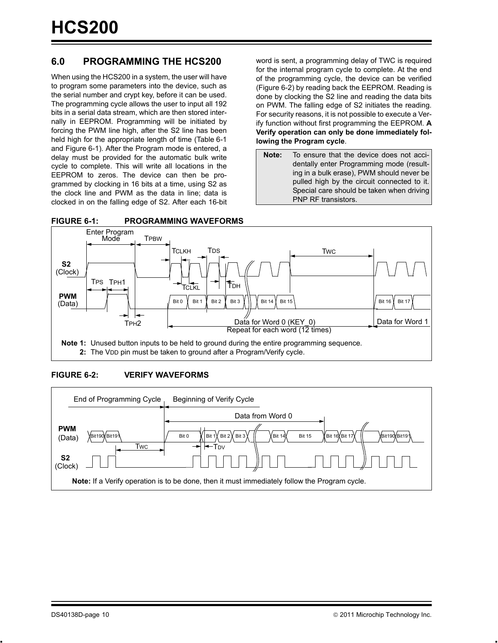#### **6.0 PROGRAMMING THE HCS200**

When using the HCS200 in a system, the user will have to program some parameters into the device, such as the serial number and crypt key, before it can be used. The programming cycle allows the user to input all 192 bits in a serial data stream, which are then stored internally in EEPROM. Programming will be initiated by forcing the PWM line high, after the S2 line has been held high for the appropriate length of time [\(Table 6-1](#page-10-0) and [Figure 6-1\)](#page-9-0). After the Program mode is entered, a delay must be provided for the automatic bulk write cycle to complete. This will write all locations in the EEPROM to zeros. The device can then be programmed by clocking in 16 bits at a time, using S2 as the clock line and PWM as the data in line; data is clocked in on the falling edge of S2. After each 16-bit word is sent, a programming delay of TWC is required for the internal program cycle to complete. At the end of the programming cycle, the device can be verified ([Figure 6-2\)](#page-9-1) by reading back the EEPROM. Reading is done by clocking the S2 line and reading the data bits on PWM. The falling edge of S2 initiates the reading. For security reasons, it is not possible to execute a Verify function without first programming the EEPROM. **A Verify operation can only be done immediately following the Program cycle**.

**Note:** To ensure that the device does not accidentally enter Programming mode (resulting in a bulk erase), PWM should never be pulled high by the circuit connected to it. Special care should be taken when driving PNP RF transistors.

<span id="page-9-0"></span>

#### <span id="page-9-1"></span>**FIGURE 6-2: VERIFY WAVEFORMS**

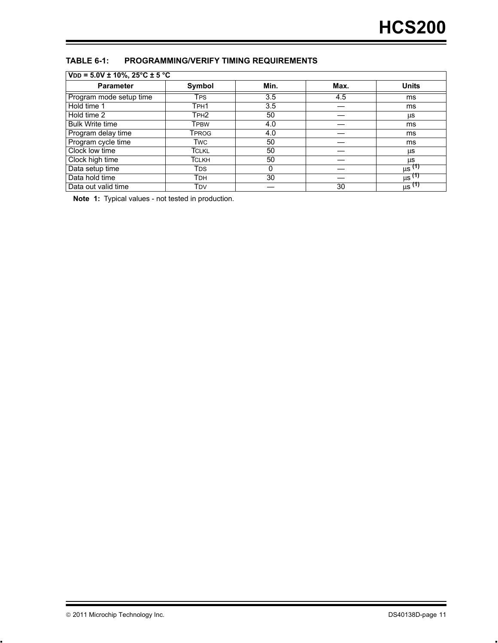#### <span id="page-10-0"></span>**TABLE 6-1: PROGRAMMING/VERIFY TIMING REQUIREMENTS**

| $VDD = 5.0V \pm 10\%, 25^{\circ}C \pm 5^{\circ}C$ |                  |      |      |                                   |  |  |  |
|---------------------------------------------------|------------------|------|------|-----------------------------------|--|--|--|
| <b>Parameter</b>                                  | Symbol           | Min. | Max. | <b>Units</b>                      |  |  |  |
| Program mode setup time                           | <b>T</b> PS      | 3.5  | 4.5  | ms                                |  |  |  |
| Hold time 1                                       | TPH1             | 3.5  |      | ms                                |  |  |  |
| Hold time 2                                       | TPH <sub>2</sub> | 50   |      | μs                                |  |  |  |
| <b>Bulk Write time</b>                            | <b>TPBW</b>      | 4.0  |      | ms                                |  |  |  |
| Program delay time                                | TPROG            | 4.0  |      | ms                                |  |  |  |
| Program cycle time                                | Twc              | 50   |      | ms                                |  |  |  |
| Clock low time                                    | TCLKL            | 50   |      | μs                                |  |  |  |
| Clock high time                                   | Тськн            | 50   |      | μs                                |  |  |  |
| Data setup time                                   | <b>TDS</b>       | 0    |      | $\mu s^{(1)}$                     |  |  |  |
| Data hold time                                    | Трн              | 30   |      | $\overline{\mu}$ s <sup>(1)</sup> |  |  |  |
| Data out valid time                               | Tdv              |      | 30   | $\mu s$ (1)                       |  |  |  |

**Note 1:** Typical values - not tested in production.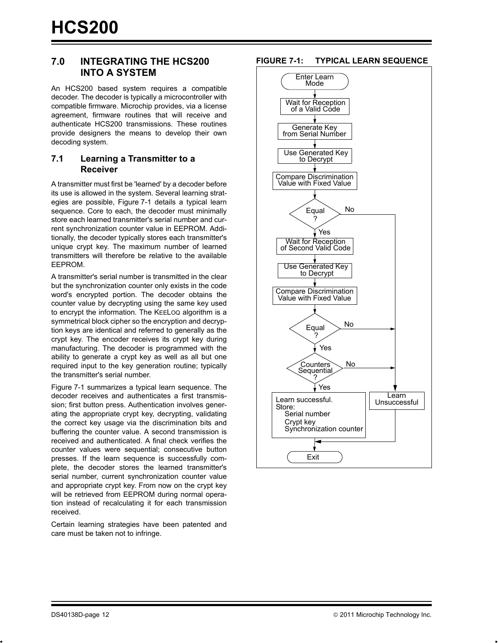#### <span id="page-11-0"></span>**7.0 INTEGRATING THE HCS200 INTO A SYSTEM**

An HCS200 based system requires a compatible decoder. The decoder is typically a microcontroller with compatible firmware. Microchip provides, via a license agreement, firmware routines that will receive and authenticate HCS200 transmissions. These routines provide designers the means to develop their own decoding system.

#### **7.1 Learning a Transmitter to a Receiver**

A transmitter must first be 'learned' by a decoder before its use is allowed in the system. Several learning strategies are possible, [Figure 7-1](#page-11-1) details a typical learn sequence. Core to each, the decoder must minimally store each learned transmitter's serial number and current synchronization counter value in EEPROM. Additionally, the decoder typically stores each transmitter's unique crypt key. The maximum number of learned transmitters will therefore be relative to the available EEPROM.

A transmitter's serial number is transmitted in the clear but the synchronization counter only exists in the code word's encrypted portion. The decoder obtains the counter value by decrypting using the same key used to encrypt the information. The KEELOQ algorithm is a symmetrical block cipher so the encryption and decryption keys are identical and referred to generally as the crypt key. The encoder receives its crypt key during manufacturing. The decoder is programmed with the ability to generate a crypt key as well as all but one required input to the key generation routine; typically the transmitter's serial number.

[Figure 7-1](#page-11-1) summarizes a typical learn sequence. The decoder receives and authenticates a first transmission; first button press. Authentication involves generating the appropriate crypt key, decrypting, validating the correct key usage via the discrimination bits and buffering the counter value. A second transmission is received and authenticated. A final check verifies the counter values were sequential; consecutive button presses. If the learn sequence is successfully complete, the decoder stores the learned transmitter's serial number, current synchronization counter value and appropriate crypt key. From now on the crypt key will be retrieved from EEPROM during normal operation instead of recalculating it for each transmission received.

Certain learning strategies have been patented and care must be taken not to infringe.

#### <span id="page-11-1"></span>**FIGURE 7-1: TYPICAL LEARN SEQUENCE**

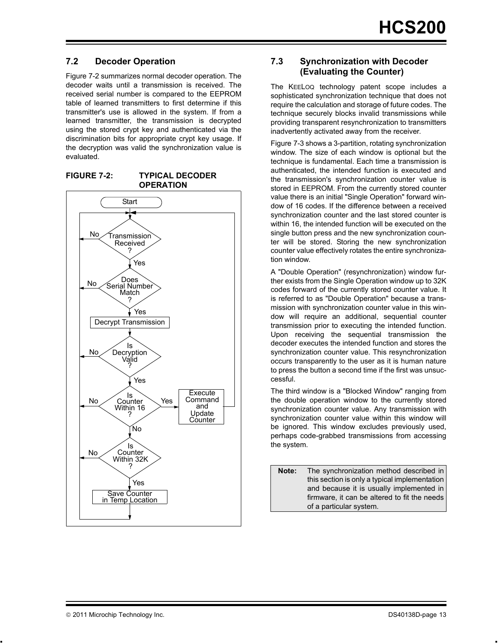#### **7.2 Decoder Operation**

[Figure 7-2](#page-12-0) summarizes normal decoder operation. The decoder waits until a transmission is received. The received serial number is compared to the EEPROM table of learned transmitters to first determine if this transmitter's use is allowed in the system. If from a learned transmitter, the transmission is decrypted using the stored crypt key and authenticated via the discrimination bits for appropriate crypt key usage. If the decryption was valid the synchronization value is evaluated.

<span id="page-12-0"></span>**FIGURE 7-2: TYPICAL DECODER OPERATION**



#### **7.3 Synchronization with Decoder (Evaluating the Counter)**

The KEELOQ technology patent scope includes a sophisticated synchronization technique that does not require the calculation and storage of future codes. The technique securely blocks invalid transmissions while providing transparent resynchronization to transmitters inadvertently activated away from the receiver.

[Figure 7-3](#page-13-0) shows a 3-partition, rotating synchronization window. The size of each window is optional but the technique is fundamental. Each time a transmission is authenticated, the intended function is executed and the transmission's synchronization counter value is stored in EEPROM. From the currently stored counter value there is an initial "Single Operation" forward window of 16 codes. If the difference between a received synchronization counter and the last stored counter is within 16, the intended function will be executed on the single button press and the new synchronization counter will be stored. Storing the new synchronization counter value effectively rotates the entire synchronization window.

A "Double Operation" (resynchronization) window further exists from the Single Operation window up to 32K codes forward of the currently stored counter value. It is referred to as "Double Operation" because a transmission with synchronization counter value in this window will require an additional, sequential counter transmission prior to executing the intended function. Upon receiving the sequential transmission the decoder executes the intended function and stores the synchronization counter value. This resynchronization occurs transparently to the user as it is human nature to press the button a second time if the first was unsuccessful.

The third window is a "Blocked Window" ranging from the double operation window to the currently stored synchronization counter value. Any transmission with synchronization counter value within this window will be ignored. This window excludes previously used, perhaps code-grabbed transmissions from accessing the system.

**Note:** The synchronization method described in this section is only a typical implementation and because it is usually implemented in firmware, it can be altered to fit the needs of a particular system.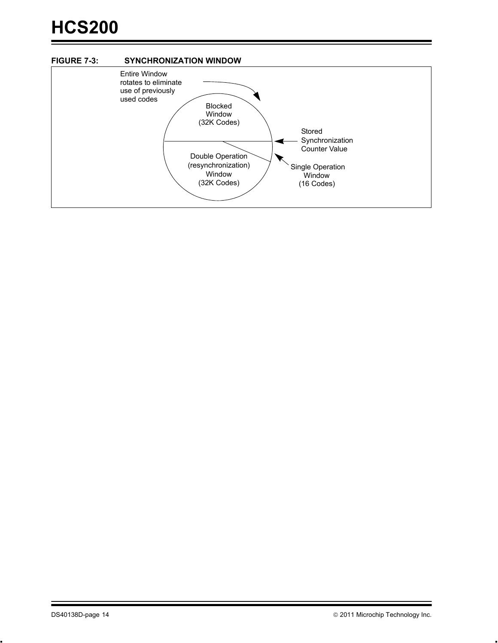<span id="page-13-0"></span>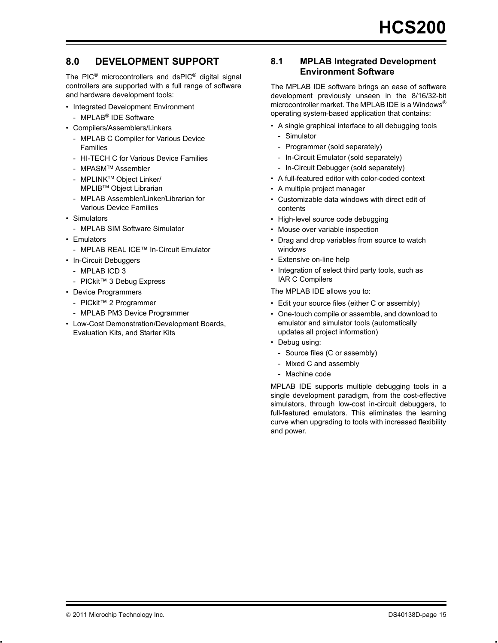# **8.0 DEVELOPMENT SUPPORT**

The PIC<sup>®</sup> microcontrollers and dsPIC<sup>®</sup> digital signal controllers are supported with a full range of software and hardware development tools:

- Integrated Development Environment
- MPLAB® IDE Software
- Compilers/Assemblers/Linkers
	- MPLAB C Compiler for Various Device Families
	- HI-TECH C for Various Device Families
	- MPASMTM Assembler
	- MPLINKTM Object Linker/ MPLIBTM Object Librarian
	- MPLAB Assembler/Linker/Librarian for Various Device Families
- Simulators
	- MPLAB SIM Software Simulator
- Emulators
	- MPLAB REAL ICE™ In-Circuit Emulator
- In-Circuit Debuggers
	- MPLAB ICD 3
	- PICkit™ 3 Debug Express
- Device Programmers
	- PICkit™ 2 Programmer
	- MPLAB PM3 Device Programmer
- Low-Cost Demonstration/Development Boards, Evaluation Kits, and Starter Kits

#### **8.1 MPLAB Integrated Development Environment Software**

The MPLAB IDE software brings an ease of software development previously unseen in the 8/16/32-bit microcontroller market. The MPLAB IDE is a Windows® operating system-based application that contains:

- A single graphical interface to all debugging tools
	- Simulator
	- Programmer (sold separately)
	- In-Circuit Emulator (sold separately)
	- In-Circuit Debugger (sold separately)
- A full-featured editor with color-coded context
- A multiple project manager
- Customizable data windows with direct edit of contents
- High-level source code debugging
- Mouse over variable inspection
- Drag and drop variables from source to watch windows
- Extensive on-line help
- Integration of select third party tools, such as IAR C Compilers

The MPLAB IDE allows you to:

- Edit your source files (either C or assembly)
- One-touch compile or assemble, and download to emulator and simulator tools (automatically updates all project information)
- Debug using:
	- Source files (C or assembly)
	- Mixed C and assembly
	- Machine code

MPLAB IDE supports multiple debugging tools in a single development paradigm, from the cost-effective simulators, through low-cost in-circuit debuggers, to full-featured emulators. This eliminates the learning curve when upgrading to tools with increased flexibility and power.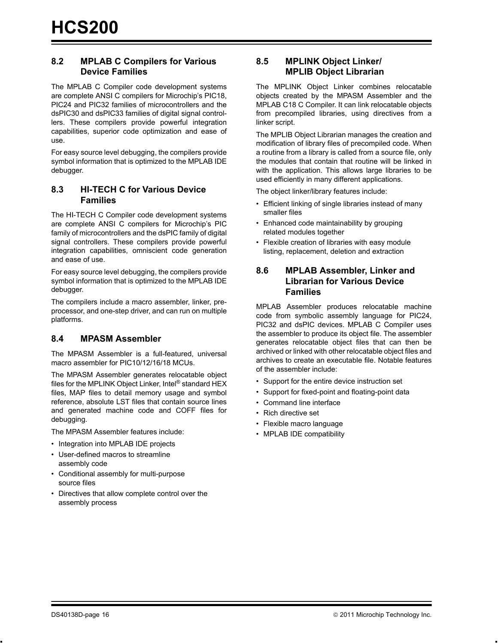#### **8.2 MPLAB C Compilers for Various Device Families**

The MPLAB C Compiler code development systems are complete ANSI C compilers for Microchip's PIC18, PIC24 and PIC32 families of microcontrollers and the dsPIC30 and dsPIC33 families of digital signal controllers. These compilers provide powerful integration capabilities, superior code optimization and ease of use.

For easy source level debugging, the compilers provide symbol information that is optimized to the MPLAB IDE debugger.

#### **8.3 HI-TECH C for Various Device Families**

The HI-TECH C Compiler code development systems are complete ANSI C compilers for Microchip's PIC family of microcontrollers and the dsPIC family of digital signal controllers. These compilers provide powerful integration capabilities, omniscient code generation and ease of use.

For easy source level debugging, the compilers provide symbol information that is optimized to the MPLAB IDE debugger.

The compilers include a macro assembler, linker, preprocessor, and one-step driver, and can run on multiple platforms.

#### **8.4 MPASM Assembler**

The MPASM Assembler is a full-featured, universal macro assembler for PIC10/12/16/18 MCUs.

The MPASM Assembler generates relocatable object files for the MPLINK Object Linker, Intel® standard HEX files, MAP files to detail memory usage and symbol reference, absolute LST files that contain source lines and generated machine code and COFF files for debugging.

The MPASM Assembler features include:

- Integration into MPLAB IDE projects
- User-defined macros to streamline assembly code
- Conditional assembly for multi-purpose source files
- Directives that allow complete control over the assembly process

#### **8.5 MPLINK Object Linker/ MPLIB Object Librarian**

The MPLINK Object Linker combines relocatable objects created by the MPASM Assembler and the MPLAB C18 C Compiler. It can link relocatable objects from precompiled libraries, using directives from a linker script.

The MPLIB Object Librarian manages the creation and modification of library files of precompiled code. When a routine from a library is called from a source file, only the modules that contain that routine will be linked in with the application. This allows large libraries to be used efficiently in many different applications.

The object linker/library features include:

- Efficient linking of single libraries instead of many smaller files
- Enhanced code maintainability by grouping related modules together
- Flexible creation of libraries with easy module listing, replacement, deletion and extraction

#### **8.6 MPLAB Assembler, Linker and Librarian for Various Device Families**

MPLAB Assembler produces relocatable machine code from symbolic assembly language for PIC24, PIC32 and dsPIC devices. MPLAB C Compiler uses the assembler to produce its object file. The assembler generates relocatable object files that can then be archived or linked with other relocatable object files and archives to create an executable file. Notable features of the assembler include:

- Support for the entire device instruction set
- Support for fixed-point and floating-point data
- Command line interface
- Rich directive set
- Flexible macro language
- MPLAB IDE compatibility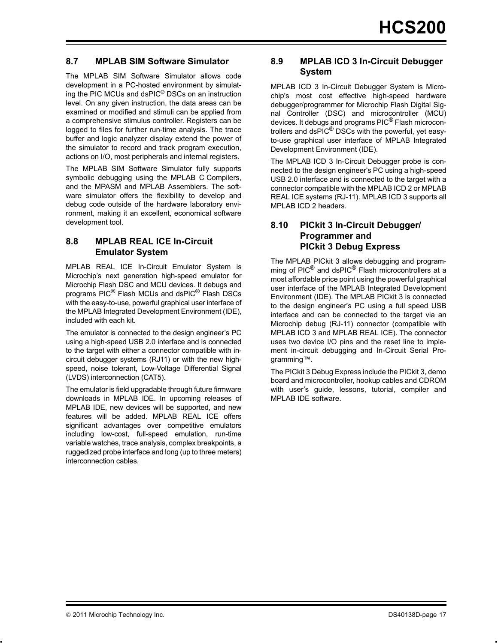#### **8.7 MPLAB SIM Software Simulator**

The MPLAB SIM Software Simulator allows code development in a PC-hosted environment by simulating the PIC MCUs and dsPIC® DSCs on an instruction level. On any given instruction, the data areas can be examined or modified and stimuli can be applied from a comprehensive stimulus controller. Registers can be logged to files for further run-time analysis. The trace buffer and logic analyzer display extend the power of the simulator to record and track program execution, actions on I/O, most peripherals and internal registers.

The MPLAB SIM Software Simulator fully supports symbolic debugging using the MPLAB C Compilers, and the MPASM and MPLAB Assemblers. The software simulator offers the flexibility to develop and debug code outside of the hardware laboratory environment, making it an excellent, economical software development tool.

#### **8.8 MPLAB REAL ICE In-Circuit Emulator System**

MPLAB REAL ICE In-Circuit Emulator System is Microchip's next generation high-speed emulator for Microchip Flash DSC and MCU devices. It debugs and programs PIC® Flash MCUs and dsPIC® Flash DSCs with the easy-to-use, powerful graphical user interface of the MPLAB Integrated Development Environment (IDE), included with each kit.

The emulator is connected to the design engineer's PC using a high-speed USB 2.0 interface and is connected to the target with either a connector compatible with incircuit debugger systems (RJ11) or with the new highspeed, noise tolerant, Low-Voltage Differential Signal (LVDS) interconnection (CAT5).

The emulator is field upgradable through future firmware downloads in MPLAB IDE. In upcoming releases of MPLAB IDE, new devices will be supported, and new features will be added. MPLAB REAL ICE offers significant advantages over competitive emulators including low-cost, full-speed emulation, run-time variable watches, trace analysis, complex breakpoints, a ruggedized probe interface and long (up to three meters) interconnection cables.

#### **8.9 MPLAB ICD 3 In-Circuit Debugger System**

MPLAB ICD 3 In-Circuit Debugger System is Microchip's most cost effective high-speed hardware debugger/programmer for Microchip Flash Digital Signal Controller (DSC) and microcontroller (MCU) devices. It debugs and programs PIC® Flash microcontrollers and dsPIC® DSCs with the powerful, yet easyto-use graphical user interface of MPLAB Integrated Development Environment (IDE).

The MPLAB ICD 3 In-Circuit Debugger probe is connected to the design engineer's PC using a high-speed USB 2.0 interface and is connected to the target with a connector compatible with the MPLAB ICD 2 or MPLAB REAL ICE systems (RJ-11). MPLAB ICD 3 supports all MPLAB ICD 2 headers.

#### **8.10 PICkit 3 In-Circuit Debugger/ Programmer and PICkit 3 Debug Express**

The MPLAB PICkit 3 allows debugging and programming of PIC<sup>®</sup> and dsPIC<sup>®</sup> Flash microcontrollers at a most affordable price point using the powerful graphical user interface of the MPLAB Integrated Development Environment (IDE). The MPLAB PICkit 3 is connected to the design engineer's PC using a full speed USB interface and can be connected to the target via an Microchip debug (RJ-11) connector (compatible with MPLAB ICD 3 and MPLAB REAL ICE). The connector uses two device I/O pins and the reset line to implement in-circuit debugging and In-Circuit Serial Programming™.

The PICkit 3 Debug Express include the PICkit 3, demo board and microcontroller, hookup cables and CDROM with user's guide, lessons, tutorial, compiler and MPLAB IDE software.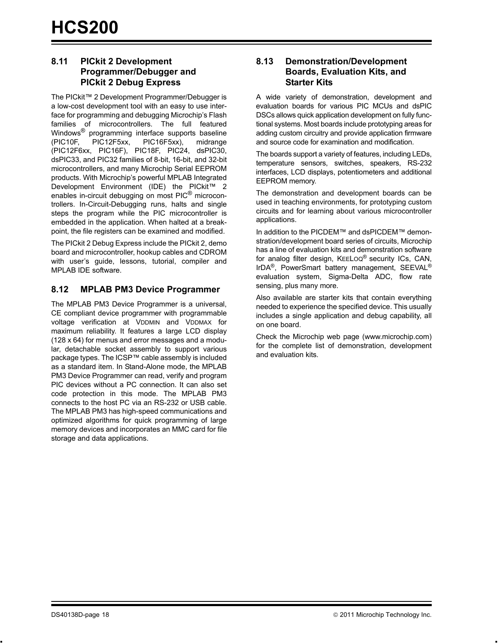#### **8.11 PICkit 2 Development Programmer/Debugger and PICkit 2 Debug Express**

The PICkit™ 2 Development Programmer/Debugger is a low-cost development tool with an easy to use interface for programming and debugging Microchip's Flash families of microcontrollers. The full featured Windows® programming interface supports baseline (PIC10F, PIC12F5xx, PIC16F5xx), midrange (PIC12F6xx, PIC16F), PIC18F, PIC24, dsPIC30, dsPIC33, and PIC32 families of 8-bit, 16-bit, and 32-bit microcontrollers, and many Microchip Serial EEPROM products. With Microchip's powerful MPLAB Integrated Development Environment (IDE) the PICkit™ 2 enables in-circuit debugging on most PIC<sup>®</sup> microcontrollers. In-Circuit-Debugging runs, halts and single steps the program while the PIC microcontroller is embedded in the application. When halted at a breakpoint, the file registers can be examined and modified.

The PICkit 2 Debug Express include the PICkit 2, demo board and microcontroller, hookup cables and CDROM with user's guide, lessons, tutorial, compiler and MPLAB IDE software.

#### **8.12 MPLAB PM3 Device Programmer**

The MPLAB PM3 Device Programmer is a universal, CE compliant device programmer with programmable voltage verification at VDDMIN and VDDMAX for maximum reliability. It features a large LCD display (128 x 64) for menus and error messages and a modular, detachable socket assembly to support various package types. The ICSP™ cable assembly is included as a standard item. In Stand-Alone mode, the MPLAB PM3 Device Programmer can read, verify and program PIC devices without a PC connection. It can also set code protection in this mode. The MPLAB PM3 connects to the host PC via an RS-232 or USB cable. The MPLAB PM3 has high-speed communications and optimized algorithms for quick programming of large memory devices and incorporates an MMC card for file storage and data applications.

#### **8.13 Demonstration/Development Boards, Evaluation Kits, and Starter Kits**

A wide variety of demonstration, development and evaluation boards for various PIC MCUs and dsPIC DSCs allows quick application development on fully functional systems. Most boards include prototyping areas for adding custom circuitry and provide application firmware and source code for examination and modification.

The boards support a variety of features, including LEDs, temperature sensors, switches, speakers, RS-232 interfaces, LCD displays, potentiometers and additional EEPROM memory.

The demonstration and development boards can be used in teaching environments, for prototyping custom circuits and for learning about various microcontroller applications.

In addition to the PICDEM™ and dsPICDEM™ demonstration/development board series of circuits, Microchip has a line of evaluation kits and demonstration software for analog filter design, KEELOQ® security ICs, CAN, IrDA®, PowerSmart battery management, SEEVAL® evaluation system, Sigma-Delta ADC, flow rate sensing, plus many more.

Also available are starter kits that contain everything needed to experience the specified device. This usually includes a single application and debug capability, all on one board.

[Check the Microchip web page \(w](http://www.microchip.com)ww.microchip.com) for the complete list of demonstration, development and evaluation kits.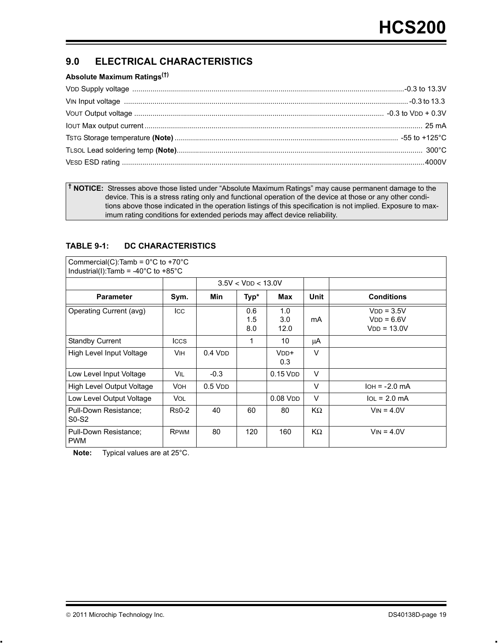# **9.0 ELECTRICAL CHARACTERISTICS**

#### **Absolute Maximum Ratings(†)**

**† NOTICE:** Stresses above those listed under "Absolute Maximum Ratings" may cause permanent damage to the device. This is a stress rating only and functional operation of the device at those or any other conditions above those indicated in the operation listings of this specification is not implied. Exposure to maximum rating conditions for extended periods may affect device reliability.

#### **TABLE 9-1: DC CHARACTERISTICS**

| Commercial(C):Tamb = $0^{\circ}$ C to +70 $^{\circ}$ C<br>Industrial(I): Tamb = -40 $^{\circ}$ C to +85 $^{\circ}$ C |             |                       |                    |                        |        |                                               |
|----------------------------------------------------------------------------------------------------------------------|-------------|-----------------------|--------------------|------------------------|--------|-----------------------------------------------|
|                                                                                                                      |             |                       | 3.5V < VDD < 13.0V |                        |        |                                               |
| <b>Parameter</b>                                                                                                     | Sym.        | Min                   | Typ*               | Max                    | Unit   | <b>Conditions</b>                             |
| Operating Current (avg)                                                                                              | Icc         |                       | 0.6<br>1.5<br>8.0  | 1.0<br>3.0<br>12.0     | mA.    | $VDD = 3.5V$<br>$VDD = 6.6V$<br>$VDD = 13.0V$ |
| <b>Standby Current</b>                                                                                               | <b>ICCS</b> |                       | 1                  | 10                     | μA     |                                               |
| High Level Input Voltage                                                                                             | VIH.        | $0.4$ V <sub>DD</sub> |                    | $VDD+$<br>0.3          | V      |                                               |
| Low Level Input Voltage                                                                                              | VIL         | $-0.3$                |                    | $0.15$ V <sub>DD</sub> | V      |                                               |
| High Level Output Voltage                                                                                            | <b>VOH</b>  | $0.5$ V <sub>DD</sub> |                    |                        | $\vee$ | $IOH = -2.0 mA$                               |
| Low Level Output Voltage                                                                                             | <b>VOL</b>  |                       |                    | $0.08$ V <sub>D</sub>  | V      | $IoL = 2.0 mA$                                |
| Pull-Down Resistance;<br>S <sub>0</sub> -S <sub>2</sub>                                                              | $RS0-2$     | 40                    | 60                 | 80                     | KΩ     | $V_{IN} = 4.0V$                               |
| Pull-Down Resistance;<br><b>PWM</b>                                                                                  | RPWM        | 80                    | 120                | 160                    | KΩ     | $V_{IN} = 4.0V$                               |

**Note:** Typical values are at 25°C.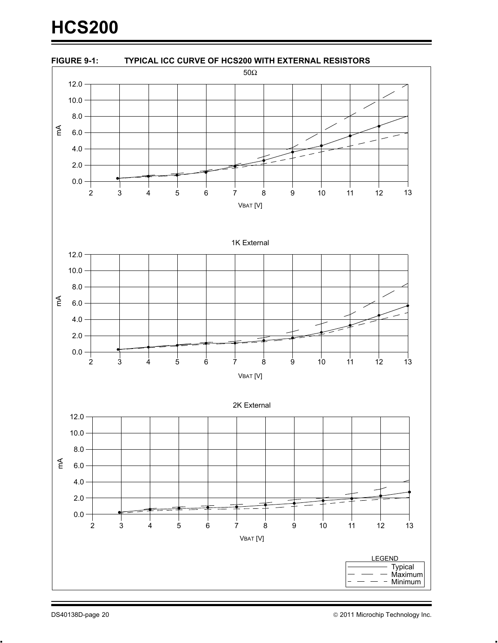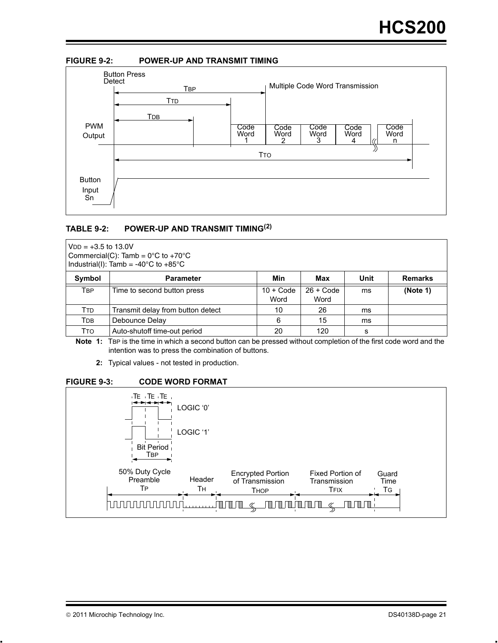<span id="page-20-0"></span>



#### **TABLE 9-2: POWER-UP AND TRANSMIT TIMING(2)**

| $VDD = +3.5$ to 13.0V<br>Commercial(C): Tamb = $0^{\circ}$ C to +70 $^{\circ}$ C<br>Industrial(I): Tamb = -40 $^{\circ}$ C to +85 $^{\circ}$ C |                                   |                     |                     |      |                |
|------------------------------------------------------------------------------------------------------------------------------------------------|-----------------------------------|---------------------|---------------------|------|----------------|
| Symbol                                                                                                                                         | <b>Parameter</b>                  | Min                 | Max                 | Unit | <b>Remarks</b> |
| <b>TBP</b>                                                                                                                                     | Time to second button press       | $10 + Code$<br>Word | $26 + Code$<br>Word | ms   | (Note 1)       |
| TTD                                                                                                                                            | Transmit delay from button detect | 10                  | 26                  | ms   |                |
| <b>TDB</b>                                                                                                                                     | Debounce Delay                    | 6                   | 15                  | ms   |                |
| TTO                                                                                                                                            | Auto-shutoff time-out period      | 20                  | 120                 | s    |                |

<span id="page-20-1"></span>**Note 1:** TBP is the time in which a second button can be pressed without completion of the first code word and the intention was to press the combination of buttons.

**2:** Typical values - not tested in production.

#### **FIGURE 9-3: CODE WORD FORMAT**

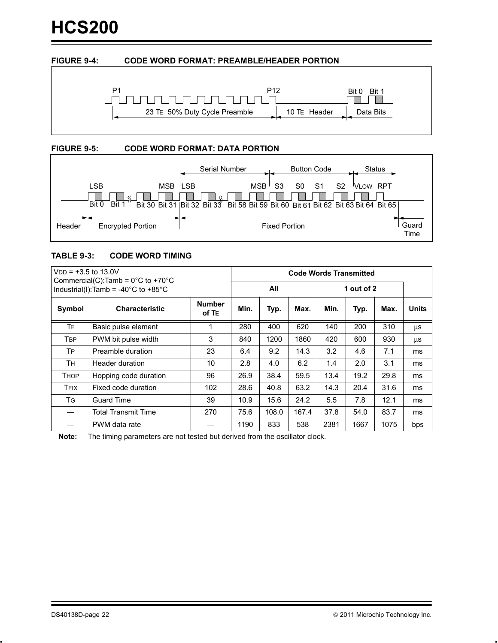# **HCS200**

#### **FIGURE 9-4: CODE WORD FORMAT: PREAMBLE/HEADER PORTION**



#### <span id="page-21-1"></span>**FIGURE 9-5: CODE WORD FORMAT: DATA PORTION**



#### <span id="page-21-0"></span>**TABLE 9-3: CODE WORD TIMING**

| $VDD = +3.5$ to 13.0V<br>Commercial(C):Tamb = $0^{\circ}$ C to +70 $^{\circ}$ C |                       |                        | <b>Code Words Transmitted</b> |       |       |            |      |      |              |
|---------------------------------------------------------------------------------|-----------------------|------------------------|-------------------------------|-------|-------|------------|------|------|--------------|
| Industrial(I):Tamb = -40 $^{\circ}$ C to +85 $^{\circ}$ C                       |                       |                        | All                           |       |       | 1 out of 2 |      |      |              |
| Symbol                                                                          | <b>Characteristic</b> | <b>Number</b><br>of TE | Min.                          | Typ.  | Max.  | Min.       | Typ. | Max. | <b>Units</b> |
| <b>TE</b>                                                                       | Basic pulse element   |                        | 280                           | 400   | 620   | 140        | 200  | 310  | μs           |
| <b>TBP</b>                                                                      | PWM bit pulse width   | 3                      | 840                           | 1200  | 1860  | 420        | 600  | 930  | μs           |
| <b>TP</b>                                                                       | Preamble duration     | 23                     | 6.4                           | 9.2   | 14.3  | 3.2        | 4.6  | 7.1  | ms           |
| Τн                                                                              | Header duration       | 10                     | 2.8                           | 4.0   | 6.2   | 1.4        | 2.0  | 3.1  | ms           |
| <b>THOP</b>                                                                     | Hopping code duration | 96                     | 26.9                          | 38.4  | 59.5  | 13.4       | 19.2 | 29.8 | ms           |
| <b>TFIX</b>                                                                     | Fixed code duration   | 102                    | 28.6                          | 40.8  | 63.2  | 14.3       | 20.4 | 31.6 | ms           |
| <b>TG</b>                                                                       | <b>Guard Time</b>     | 39                     | 10.9                          | 15.6  | 24.2  | 5.5        | 7.8  | 12.1 | ms           |
|                                                                                 | Total Transmit Time   | 270                    | 75.6                          | 108.0 | 167.4 | 37.8       | 54.0 | 83.7 | ms           |
|                                                                                 | PWM data rate         |                        | 1190                          | 833   | 538   | 2381       | 1667 | 1075 | bps          |

**Note:** The timing parameters are not tested but derived from the oscillator clock.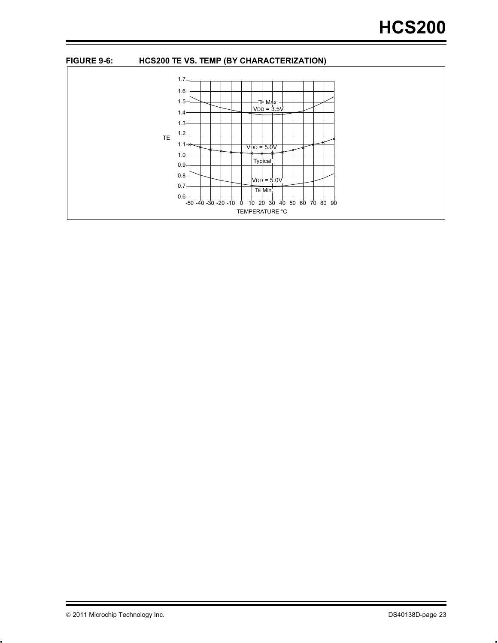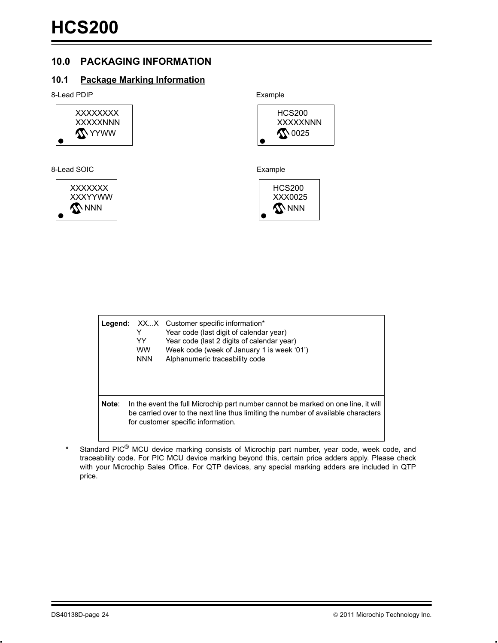#### **10.0 PACKAGING INFORMATION**

#### **10.1 Package Marking Information**

8-Lead PDIP **Example** 



8-Lead SOIC **Example** 







| Legend: | Y<br>YY<br><b>WW</b><br><b>NNN</b> | XXX Customer specific information*<br>Year code (last digit of calendar year)<br>Year code (last 2 digits of calendar year)<br>Week code (week of January 1 is week '01')<br>Alphanumeric traceability code  |
|---------|------------------------------------|--------------------------------------------------------------------------------------------------------------------------------------------------------------------------------------------------------------|
| Note:   |                                    | In the event the full Microchip part number cannot be marked on one line, it will<br>be carried over to the next line thus limiting the number of available characters<br>for customer specific information. |

**\*** Standard PIC® MCU device marking consists of Microchip part number, year code, week code, and traceability code. For PIC MCU device marking beyond this, certain price adders apply. Please check with your Microchip Sales Office. For QTP devices, any special marking adders are included in QTP price.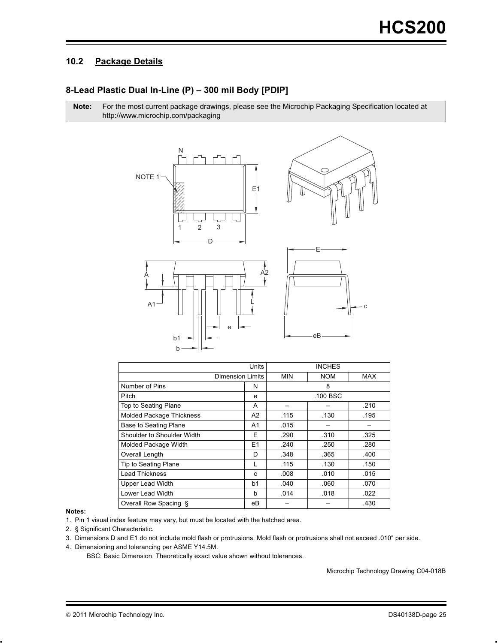#### $10.2$ **Package Details**

#### 8-Lead Plastic Dual In-Line (P) - 300 mil Body [PDIP]

Note: For the most current package drawings, please see the Microchip Packaging Specification located at http://www.microchip.com/packaging



|                                 | Units                   |            |            | <b>INCHES</b> |  |  |  |
|---------------------------------|-------------------------|------------|------------|---------------|--|--|--|
|                                 | <b>Dimension Limits</b> | <b>MIN</b> | <b>NOM</b> | <b>MAX</b>    |  |  |  |
| Number of Pins                  | N                       |            | 8          |               |  |  |  |
| Pitch                           | e                       |            | .100 BSC   |               |  |  |  |
| Top to Seating Plane            | A                       |            |            | .210          |  |  |  |
| <b>Molded Package Thickness</b> | A2                      | .115       | .130       | .195          |  |  |  |
| <b>Base to Seating Plane</b>    | A1                      | .015       |            |               |  |  |  |
| Shoulder to Shoulder Width      | E                       | .290       | .310       | .325          |  |  |  |
| Molded Package Width            | E <sub>1</sub>          | .240       | .250       | .280          |  |  |  |
| Overall Length                  | D                       | .348       | .365       | .400          |  |  |  |
| Tip to Seating Plane            |                         | .115       | .130       | .150          |  |  |  |
| <b>Lead Thickness</b>           | c                       | .008       | .010       | .015          |  |  |  |
| Upper Lead Width                | b1                      | .040       | .060       | .070          |  |  |  |
| Lower Lead Width                | b                       | .014       | .018       | .022          |  |  |  |
| Overall Row Spacing §           | еB                      |            |            | .430          |  |  |  |

#### Notes:

- 1. Pin 1 visual index feature may vary, but must be located with the hatched area.
- 2. § Significant Characteristic.
- 3. Dimensions D and E1 do not include mold flash or protrusions. Mold flash or protrusions shall not exceed .010" per side.
- 4. Dimensioning and tolerancing per ASME Y14.5M.

BSC: Basic Dimension. Theoretically exact value shown without tolerances.

Microchip Technology Drawing C04-018B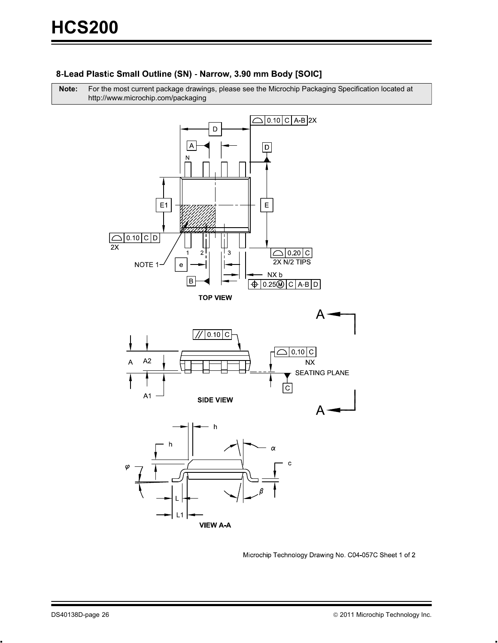#### 8-Lead Plastic Small Outline (SN) - Narrow, 3.90 mm Body [SOIC]

**Note:** For the most current package drawings, please see the Microchip Packaging Specification located at http://www.microchip.com/packaging



Microchip Technology Drawing No. C04-057C Sheet 1 of 2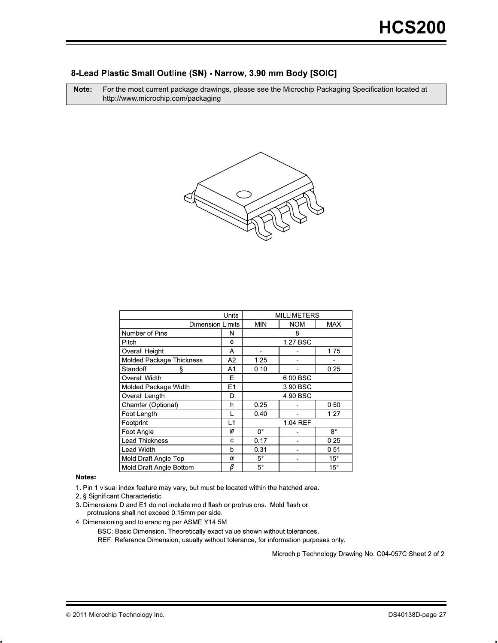#### 8-Lead Plastic Small Outline (SN) - Narrow, 3.90 mm Body [SOIC]

**Note:** For the most current package drawings, please see the Microchip Packaging Specification located at http://www.microchip.com/packaging



|                          | <b>MILLIMETERS</b> |             |          |              |  |
|--------------------------|--------------------|-------------|----------|--------------|--|
| <b>Dimension Limits</b>  | <b>MIN</b>         | <b>NOM</b>  | MAX      |              |  |
| Number of Pins           | N                  |             | 8        |              |  |
| Pitch                    | e                  |             | 1 27 BSC |              |  |
| Overall Height           | Α                  |             |          | 175          |  |
| Molded Package Thickness | A2                 | 1.25        |          |              |  |
| Standoff<br>ş            | A1                 | 0.10        |          | 0.25         |  |
| Overall Width            | Е                  | 6.00 BSC    |          |              |  |
| Molded Package Width     | E1                 | 3.90 BSC    |          |              |  |
| Overall Length           | D                  | 4.90 BSC    |          |              |  |
| Chamfer (Optional)       | h                  | 0.25        |          | 0.50         |  |
| Foot Length              |                    | 0.40        |          | 1.27         |  |
| Footprint                | L1                 |             | 1 04 REF |              |  |
| Foot Angle               | φ                  | $0^{\circ}$ |          | $8^{\circ}$  |  |
| <b>Lead Thickness</b>    | с                  | 0.17        |          | 0.25         |  |
| <b>Lead Width</b>        | b                  | 0.31        |          | 0.51         |  |
| Mold Draft Angle Top     | α                  | $5^{\circ}$ |          | $15^\circ$   |  |
| Mold Draft Angle Bottom  | β                  | $5^{\circ}$ |          | $15^{\circ}$ |  |

#### Notes:

1. Pin 1 visual index feature may vary, but must be located within the hatched area.

2. § Significant Characteristic

3. Dimensions D and E1 do not include mold flash or protrusions. Mold flash or protrusions shall not exceed 0.15mm per side.

4. Dimensioning and tolerancing per ASME Y14.5M

BSC: Basic Dimension. Theoretically exact value shown without tolerances.

REF: Reference Dimension, usually without tolerance, for information purposes only.

Microchip Technology Drawing No. C04-057C Sheet 2 of 2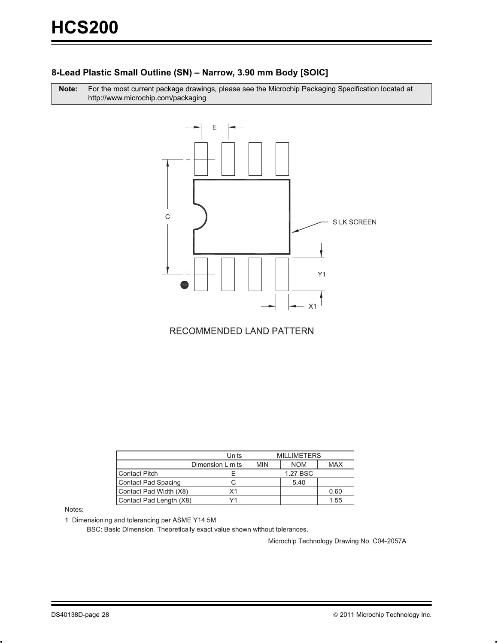#### 8-Lead Plastic Small Outline (SN) – Narrow, 3.90 mm Body [SOIC]

Note: r the most current package drawings, please see the Microchip Packaging Specification located at http://www.microchip.com/packaging



RECOMMENDED LAND PATTERN

|                              |                | <b>MILLIMETERS</b> |            |      |
|------------------------------|----------------|--------------------|------------|------|
| Dimension Limits             | <b>MIN</b>     | <b>NOM</b>         | <b>MAX</b> |      |
| <b>Contact Pitch</b>         | F              |                    | 1.27 BSC   |      |
| Contact Pad Spacing          |                |                    | 5.40       |      |
| Contact Pad Width (X8)<br>Χ1 |                |                    |            | 0.60 |
| Contact Pad Length (X8)      | V <sub>1</sub> |                    |            | 1.55 |

Notes:

1. Dimensioning and tolerancing per ASME Y14.5M

BSC: Basic Dimension. Theoretically exact value shown without tolerances.

Microchip Technology Drawing No. C04-2057A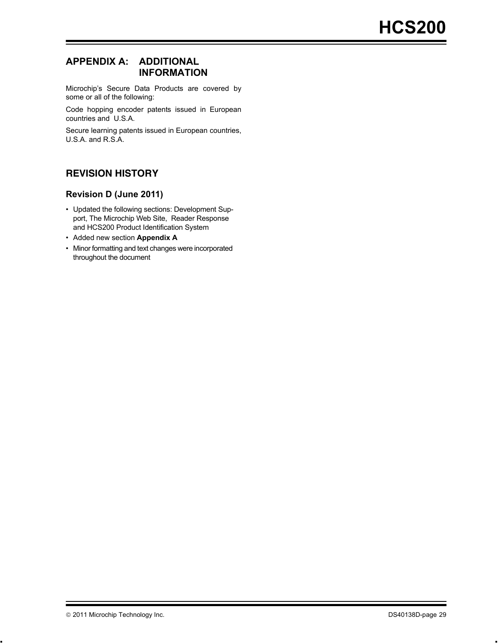#### **APPENDIX A: ADDITIONAL INFORMATION**

Microchip's Secure Data Products are covered by some or all of the following:

Code hopping encoder patents issued in European countries and U.S.A.

Secure learning patents issued in European countries, U.S.A. and R.S.A.

### **REVISION HISTORY**

#### **Revision D (June 2011)**

- Updated the following sections: Development Support, The Microchip Web Site, Reader Response and HCS200 Product Identification System
- Added new section **Appendix A**
- Minor formatting and text changes were incorporated throughout the document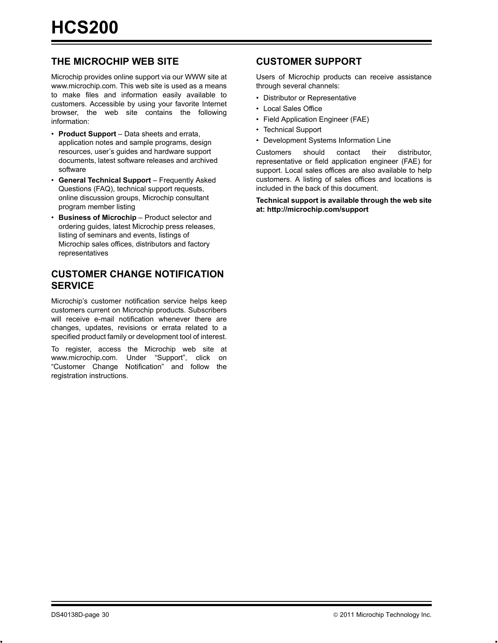# **THE MICROCHIP WEB SITE**

[Microchip provides online support via our WWW site at](http://www.microchip.com) www.microchip.com. This web site is used as a means to make files and information easily available to customers. Accessible by using your favorite Internet browser, the web site contains the following information:

- **Product Support** Data sheets and errata, application notes and sample programs, design resources, user's guides and hardware support documents, latest software releases and archived software
- **General Technical Support** Frequently Asked Questions (FAQ), technical support requests, online discussion groups, Microchip consultant program member listing
- **Business of Microchip** Product selector and ordering guides, latest Microchip press releases, listing of seminars and events, listings of Microchip sales offices, distributors and factory representatives

#### **CUSTOMER CHANGE NOTIFICATION SERVICE**

Microchip's customer notification service helps keep customers current on Microchip products. Subscribers will receive e-mail notification whenever there are changes, updates, revisions or errata related to a specified product family or development tool of interest.

[To register, access the Microchip web site at](http://www.microchip.com) www.microchip.com. Under "Support", click on "Customer Change Notification" and follow the registration instructions.

#### **CUSTOMER SUPPORT**

Users of Microchip products can receive assistance through several channels:

- Distributor or Representative
- Local Sales Office
- Field Application Engineer (FAE)
- Technical Support
- Development Systems Information Line

Customers should contact their distributor, representative or field application engineer (FAE) for support. Local sales offices are also available to help customers. A listing of sales offices and locations is included in the back of this document.

**[Technical support is available through the web site](http://www.microchip.com) [at:](http://www.microchip.com) http://microchip.com/support**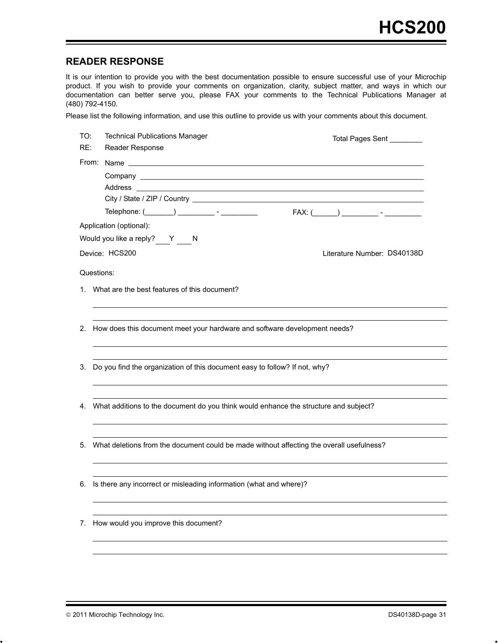#### **READER RESPONSE**

It is our intention to provide you with the best documentation possible to ensure successful use of your Microchip product. If you wish to provide your comments on organization, clarity, subject matter, and ways in which our documentation can better serve you, please FAX your comments to the Technical Publications Manager at (480) 792-4150.

Please list the following information, and use this outline to provide us with your comments about this document.

| TO:<br>RE: | <b>Technical Publications Manager</b><br>Reader Response                                                                                                                                                                       | Total Pages Sent ________                                                        |  |  |  |  |
|------------|--------------------------------------------------------------------------------------------------------------------------------------------------------------------------------------------------------------------------------|----------------------------------------------------------------------------------|--|--|--|--|
|            |                                                                                                                                                                                                                                |                                                                                  |  |  |  |  |
|            | Company League and Company Company Company Company Company Company Company Company Company Company Company Company Company Company Company Company Company Company Company Company Company Company Company Company Company Com |                                                                                  |  |  |  |  |
|            | Address                                                                                                                                                                                                                        | ,我们也不会有一个人的人,我们也不会有一个人的人,我们也不会有一个人的人。""我们,我们也不会有一个人的人,我们也不会有一个人的人。""我们,我们也不会有一个人 |  |  |  |  |
|            |                                                                                                                                                                                                                                |                                                                                  |  |  |  |  |
|            |                                                                                                                                                                                                                                |                                                                                  |  |  |  |  |
|            | Application (optional):                                                                                                                                                                                                        |                                                                                  |  |  |  |  |
|            | Would you like a reply? Y N                                                                                                                                                                                                    |                                                                                  |  |  |  |  |
|            | Device: HCS200                                                                                                                                                                                                                 | Literature Number: DS40138D                                                      |  |  |  |  |
|            | Questions:                                                                                                                                                                                                                     |                                                                                  |  |  |  |  |
|            | 1. What are the best features of this document?                                                                                                                                                                                |                                                                                  |  |  |  |  |
|            |                                                                                                                                                                                                                                |                                                                                  |  |  |  |  |
| 2.         | How does this document meet your hardware and software development needs?                                                                                                                                                      |                                                                                  |  |  |  |  |
|            |                                                                                                                                                                                                                                |                                                                                  |  |  |  |  |
| 3.         | Do you find the organization of this document easy to follow? If not, why?                                                                                                                                                     |                                                                                  |  |  |  |  |
|            |                                                                                                                                                                                                                                |                                                                                  |  |  |  |  |
| 4.         | What additions to the document do you think would enhance the structure and subject?                                                                                                                                           |                                                                                  |  |  |  |  |
|            |                                                                                                                                                                                                                                |                                                                                  |  |  |  |  |
| 5.         | What deletions from the document could be made without affecting the overall usefulness?                                                                                                                                       |                                                                                  |  |  |  |  |
|            |                                                                                                                                                                                                                                |                                                                                  |  |  |  |  |
|            | 6. Is there any incorrect or misleading information (what and where)?                                                                                                                                                          |                                                                                  |  |  |  |  |
|            |                                                                                                                                                                                                                                |                                                                                  |  |  |  |  |
| 7.         | How would you improve this document?                                                                                                                                                                                           |                                                                                  |  |  |  |  |
|            |                                                                                                                                                                                                                                |                                                                                  |  |  |  |  |
|            |                                                                                                                                                                                                                                |                                                                                  |  |  |  |  |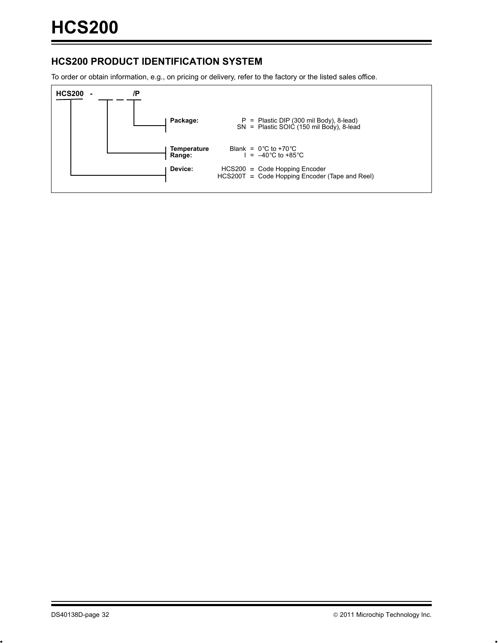### **HCS200 PRODUCT IDENTIFICATION SYSTEM**

To order or obtain information, e.g., on pricing or delivery, refer to the factory or the listed sales office.

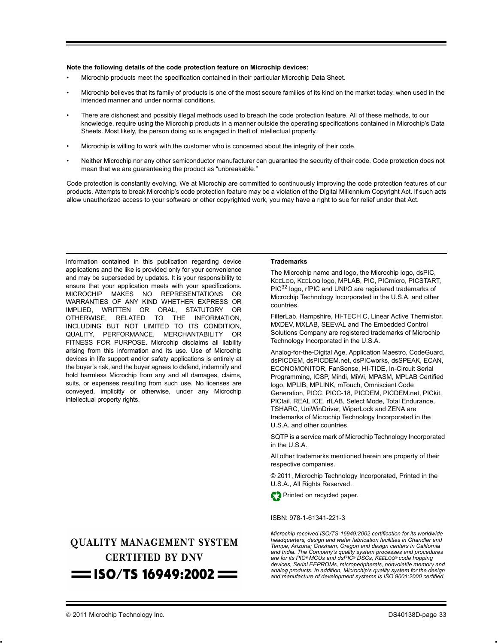#### **Note the following details of the code protection feature on Microchip devices:**

- Microchip products meet the specification contained in their particular Microchip Data Sheet.
- Microchip believes that its family of products is one of the most secure families of its kind on the market today, when used in the intended manner and under normal conditions.
- There are dishonest and possibly illegal methods used to breach the code protection feature. All of these methods, to our knowledge, require using the Microchip products in a manner outside the operating specifications contained in Microchip's Data Sheets. Most likely, the person doing so is engaged in theft of intellectual property.
- Microchip is willing to work with the customer who is concerned about the integrity of their code.
- Neither Microchip nor any other semiconductor manufacturer can guarantee the security of their code. Code protection does not mean that we are guaranteeing the product as "unbreakable."

Code protection is constantly evolving. We at Microchip are committed to continuously improving the code protection features of our products. Attempts to break Microchip's code protection feature may be a violation of the Digital Millennium Copyright Act. If such acts allow unauthorized access to your software or other copyrighted work, you may have a right to sue for relief under that Act.

Information contained in this publication regarding device applications and the like is provided only for your convenience and may be superseded by updates. It is your responsibility to ensure that your application meets with your specifications. MICROCHIP MAKES NO REPRESENTATIONS OR WARRANTIES OF ANY KIND WHETHER EXPRESS OR IMPLIED, WRITTEN OR ORAL, STATUTORY OR OTHERWISE, RELATED TO THE INFORMATION, INCLUDING BUT NOT LIMITED TO ITS CONDITION, QUALITY, PERFORMANCE, MERCHANTABILITY OR FITNESS FOR PURPOSE**.** Microchip disclaims all liability arising from this information and its use. Use of Microchip devices in life support and/or safety applications is entirely at the buyer's risk, and the buyer agrees to defend, indemnify and hold harmless Microchip from any and all damages, claims, suits, or expenses resulting from such use. No licenses are conveyed, implicitly or otherwise, under any Microchip intellectual property rights.

# **QUALITY MANAGEMENT SYSTEM CERTIFIED BY DNV**  $=$  ISO/TS 16949:2002  $=$

#### **Trademarks**

The Microchip name and logo, the Microchip logo, dsPIC, KEELOQ, KEELOQ logo, MPLAB, PIC, PICmicro, PICSTART, PIC<sup>32</sup> logo, rfPIC and UNI/O are registered trademarks of Microchip Technology Incorporated in the U.S.A. and other countries.

FilterLab, Hampshire, HI-TECH C, Linear Active Thermistor, MXDEV, MXLAB, SEEVAL and The Embedded Control Solutions Company are registered trademarks of Microchip Technology Incorporated in the U.S.A.

Analog-for-the-Digital Age, Application Maestro, CodeGuard, dsPICDEM, dsPICDEM.net, dsPICworks, dsSPEAK, ECAN, ECONOMONITOR, FanSense, HI-TIDE, In-Circuit Serial Programming, ICSP, Mindi, MiWi, MPASM, MPLAB Certified logo, MPLIB, MPLINK, mTouch, Omniscient Code Generation, PICC, PICC-18, PICDEM, PICDEM.net, PICkit, PICtail, REAL ICE, rfLAB, Select Mode, Total Endurance, TSHARC, UniWinDriver, WiperLock and ZENA are trademarks of Microchip Technology Incorporated in the U.S.A. and other countries.

SQTP is a service mark of Microchip Technology Incorporated in the U.S.A.

All other trademarks mentioned herein are property of their respective companies.

© 2011, Microchip Technology Incorporated, Printed in the U.S.A., All Rights Reserved.

Printed on recycled paper.

ISBN: 978-1-61341-221-3

*Microchip received ISO/TS-16949:2002 certification for its worldwide headquarters, design and wafer fabrication facilities in Chandler and Tempe, Arizona; Gresham, Oregon and design centers in California and India. The Company's quality system processes and procedures are for its PIC® MCUs and dsPIC® DSCs, KEELOQ® code hopping devices, Serial EEPROMs, microperipherals, nonvolatile memory and analog products. In addition, Microchip's quality system for the design and manufacture of development systems is ISO 9001:2000 certified.*